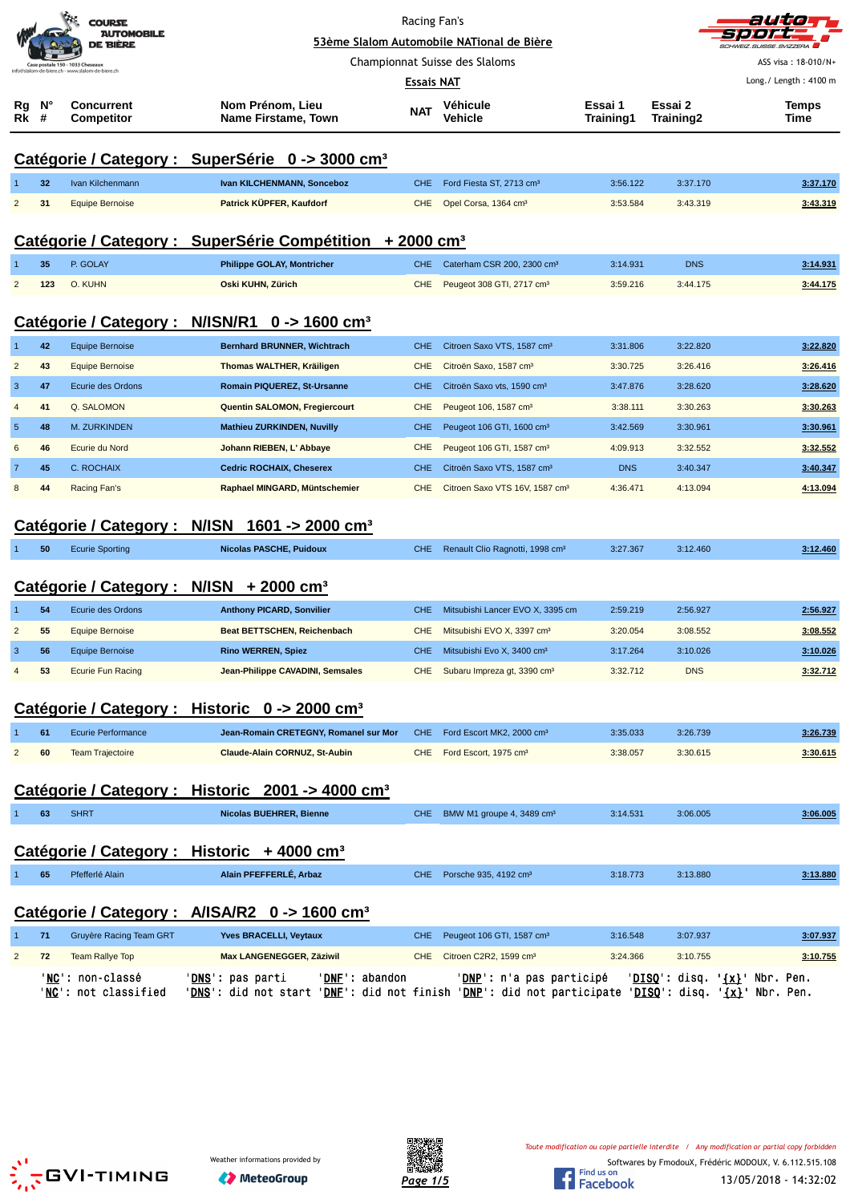|                |         | <b>COURSE</b><br><b>AUTOMOBILE</b><br>DE BIÈRE |                                                                                                                                                    | Racing Fan's | 53ème Slalom Automobile NATional de Bière   |                             |                      | auto<br>SCHWEIZ SLIISSE SVIZZERA       |
|----------------|---------|------------------------------------------------|----------------------------------------------------------------------------------------------------------------------------------------------------|--------------|---------------------------------------------|-----------------------------|----------------------|----------------------------------------|
|                |         | Case postale 150 - 1033 Cheseaux               |                                                                                                                                                    |              | Championnat Suisse des Slaloms              |                             |                      | ASS visa: 18-010/N+                    |
|                |         | @slalom-de-biere.ch - www.slalom-de-biere.ch   |                                                                                                                                                    | Essais NAT   |                                             |                             |                      | Long./ Length: 4100 m                  |
| Rg<br>Rk       | N°<br># | <b>Concurrent</b><br><b>Competitor</b>         | Nom Prénom, Lieu<br>Name Firstame, Town                                                                                                            | <b>NAT</b>   | Véhicule<br>Vehicle                         | Essai 1<br><b>Training1</b> | Essai 2<br>Training2 | <b>Temps</b><br>Time                   |
|                |         |                                                | Catégorie / Category : SuperSérie 0 -> 3000 cm <sup>3</sup>                                                                                        |              |                                             |                             |                      |                                        |
|                | 32      | Ivan Kilchenmann                               | Ivan KILCHENMANN, Sonceboz                                                                                                                         | <b>CHE</b>   | Ford Fiesta ST, 2713 cm <sup>3</sup>        | 3:56.122                    | 3:37.170             | 3:37.170                               |
| $\overline{2}$ | 31      | <b>Equipe Bernoise</b>                         | Patrick KÜPFER, Kaufdorf                                                                                                                           | <b>CHE</b>   | Opel Corsa, 1364 cm <sup>3</sup>            | 3:53.584                    | 3:43.319             | 3:43.319                               |
|                |         |                                                | Catégorie / Category : SuperSérie Compétition + 2000 cm <sup>3</sup>                                                                               |              |                                             |                             |                      |                                        |
|                | 35      | P. GOLAY                                       | <b>Philippe GOLAY, Montricher</b>                                                                                                                  | <b>CHE</b>   | Caterham CSR 200, 2300 cm <sup>3</sup>      | 3:14.931                    | <b>DNS</b>           | 3:14.931                               |
| $\overline{c}$ | 123     | O. KUHN                                        | Oski KUHN, Zürich                                                                                                                                  | <b>CHE</b>   | Peugeot 308 GTI, 2717 cm <sup>3</sup>       | 3:59.216                    | 3:44.175             | 3:44.175                               |
|                |         |                                                | Catégorie / Category : N/ISN/R1 0 -> 1600 cm <sup>3</sup>                                                                                          |              |                                             |                             |                      |                                        |
| 1              | 42      | <b>Equipe Bernoise</b>                         | <b>Bernhard BRUNNER, Wichtrach</b>                                                                                                                 | <b>CHE</b>   | Citroen Saxo VTS, 1587 cm <sup>3</sup>      | 3:31.806                    | 3:22.820             | 3:22.820                               |
| $\overline{2}$ | 43      | <b>Equipe Bernoise</b>                         | Thomas WALTHER, Kräiligen                                                                                                                          | <b>CHE</b>   | Citroën Saxo, 1587 cm <sup>3</sup>          | 3:30.725                    | 3:26.416             | 3:26.416                               |
| $\mathbf{3}$   | 47      | Ecurie des Ordons                              | Romain PIQUEREZ, St-Ursanne                                                                                                                        | <b>CHE</b>   | Citroën Saxo vts, 1590 cm <sup>3</sup>      | 3:47.876                    | 3:28.620             | 3:28.620                               |
| 4              | 41      | Q. SALOMON                                     | Quentin SALOMON, Fregiercourt                                                                                                                      | <b>CHE</b>   | Peugeot 106, 1587 cm <sup>3</sup>           | 3:38.111                    | 3:30.263             | 3:30.263                               |
| $\sqrt{5}$     | 48      | <b>M. ZURKINDEN</b>                            | <b>Mathieu ZURKINDEN, Nuvilly</b>                                                                                                                  | <b>CHE</b>   | Peugeot 106 GTI, 1600 cm <sup>3</sup>       | 3:42.569                    | 3:30.961             | 3:30.961                               |
| 6              | 46      | Ecurie du Nord                                 | Johann RIEBEN, L' Abbaye                                                                                                                           | <b>CHE</b>   | Peugeot 106 GTI, 1587 cm <sup>3</sup>       | 4:09.913                    | 3:32.552             | 3:32.552                               |
| $\overline{7}$ | 45      | C. ROCHAIX                                     | <b>Cedric ROCHAIX, Cheserex</b>                                                                                                                    | <b>CHE</b>   | Citroën Saxo VTS, 1587 cm <sup>3</sup>      | <b>DNS</b>                  | 3:40.347             | 3:40.347                               |
| 8              | 44      | Racing Fan's                                   | Raphael MINGARD, Müntschemier                                                                                                                      | <b>CHE</b>   | Citroen Saxo VTS 16V, 1587 cm <sup>3</sup>  | 4:36.471                    | 4:13.094             | 4:13.094                               |
|                |         |                                                | Catégorie / Category : N/ISN 1601 -> 2000 cm <sup>3</sup>                                                                                          |              |                                             |                             |                      |                                        |
|                | 50      | <b>Ecurie Sporting</b>                         | <b>Nicolas PASCHE, Puidoux</b>                                                                                                                     | CHE.         | Renault Clio Ragnotti, 1998 cm <sup>3</sup> | 3:27.367                    | 3:12.460             | 3:12.460                               |
|                |         |                                                | Catégorie / Category : N/ISN + 2000 cm <sup>3</sup>                                                                                                |              |                                             |                             |                      |                                        |
|                | 54      | Ecurie des Ordons                              | <b>Anthony PICARD, Sonvilier</b>                                                                                                                   | <b>CHE</b>   | Mitsubishi Lancer EVO X, 3395 cm            | 2:59.219                    | 2:56.927             | 2:56.927                               |
| $\overline{2}$ | 55      | <b>Equipe Bernoise</b>                         | <b>Beat BETTSCHEN, Reichenbach</b>                                                                                                                 | <b>CHE</b>   | Mitsubishi EVO X, 3397 cm <sup>3</sup>      | 3:20.054                    | 3:08.552             | 3:08.552                               |
| 3              | 56      | <b>Equipe Bernoise</b>                         | <b>Rino WERREN, Spiez</b>                                                                                                                          | <b>CHE</b>   | Mitsubishi Evo X, 3400 cm <sup>3</sup>      | 3:17.264                    | 3:10.026             | <u>3:10.026</u>                        |
| $\overline{4}$ | 53      | <b>Ecurie Fun Racing</b>                       | Jean-Philippe CAVADINI, Semsales                                                                                                                   | <b>CHE</b>   | Subaru Impreza gt, 3390 cm <sup>3</sup>     | 3:32.712                    | <b>DNS</b>           | 3:32.712                               |
|                |         |                                                | Catégorie / Category : Historic 0 -> 2000 cm <sup>3</sup>                                                                                          |              |                                             |                             |                      |                                        |
|                | 61      | <b>Ecurie Performance</b>                      | Jean-Romain CRETEGNY, Romanel sur Mor                                                                                                              | <b>CHE</b>   | Ford Escort MK2, 2000 cm <sup>3</sup>       | 3:35.033                    | 3:26.739             | 3:26.739                               |
| $\overline{c}$ | 60      | <b>Team Trajectoire</b>                        | Claude-Alain CORNUZ, St-Aubin                                                                                                                      | <b>CHE</b>   | Ford Escort, 1975 cm <sup>3</sup>           | 3:38.057                    | 3:30.615             | 3:30.615                               |
|                |         |                                                | Catégorie / Category : Historic 2001 -> 4000 cm <sup>3</sup>                                                                                       |              |                                             |                             |                      |                                        |
|                | 63      | <b>SHRT</b>                                    | <b>Nicolas BUEHRER, Bienne</b>                                                                                                                     | CHE.         | BMW M1 groupe 4, 3489 cm <sup>3</sup>       | 3:14.531                    | 3:06.005             | 3:06.005                               |
|                |         |                                                | Catégorie / Category : Historic + 4000 cm <sup>3</sup>                                                                                             |              |                                             |                             |                      |                                        |
|                | 65      | Pfefferlé Alain                                | Alain PFEFFERLÉ, Arbaz                                                                                                                             | CHE.         | Porsche 935, 4192 cm <sup>3</sup>           | 3:18.773                    | 3:13.880             | 3:13.880                               |
|                |         |                                                | Catégorie / Category : A/ISA/R2 0 -> 1600 cm <sup>3</sup>                                                                                          |              |                                             |                             |                      |                                        |
| 1              | 71      | Gruyère Racing Team GRT                        | <b>Yves BRACELLI, Veytaux</b>                                                                                                                      | <b>CHE</b>   | Peugeot 106 GTI, 1587 cm <sup>3</sup>       | 3:16.548                    | 3:07.937             | 3:07.937                               |
| $\overline{c}$ | 72      | <b>Team Rallye Top</b>                         | Max LANGENEGGER, Zäziwil                                                                                                                           | <b>CHE</b>   | Citroen C2R2, 1599 cm <sup>3</sup>          | 3:24.366                    | 3:10.755             | 3:10.755                               |
|                |         | 'NC': non-classé<br>'NC': not classified       | 'DNE': abandon<br>' <u>DNS</u> ': pas parti<br>'DNS': did not start 'DNF': did not finish 'DNP': did not participate 'DISQ': disq. '{x}' Nbr. Pen. |              | 'DNP': n'a pas participé                    |                             |                      | 'DISQ': disq. ' <u>{x}</u> ' Nbr. Pen. |



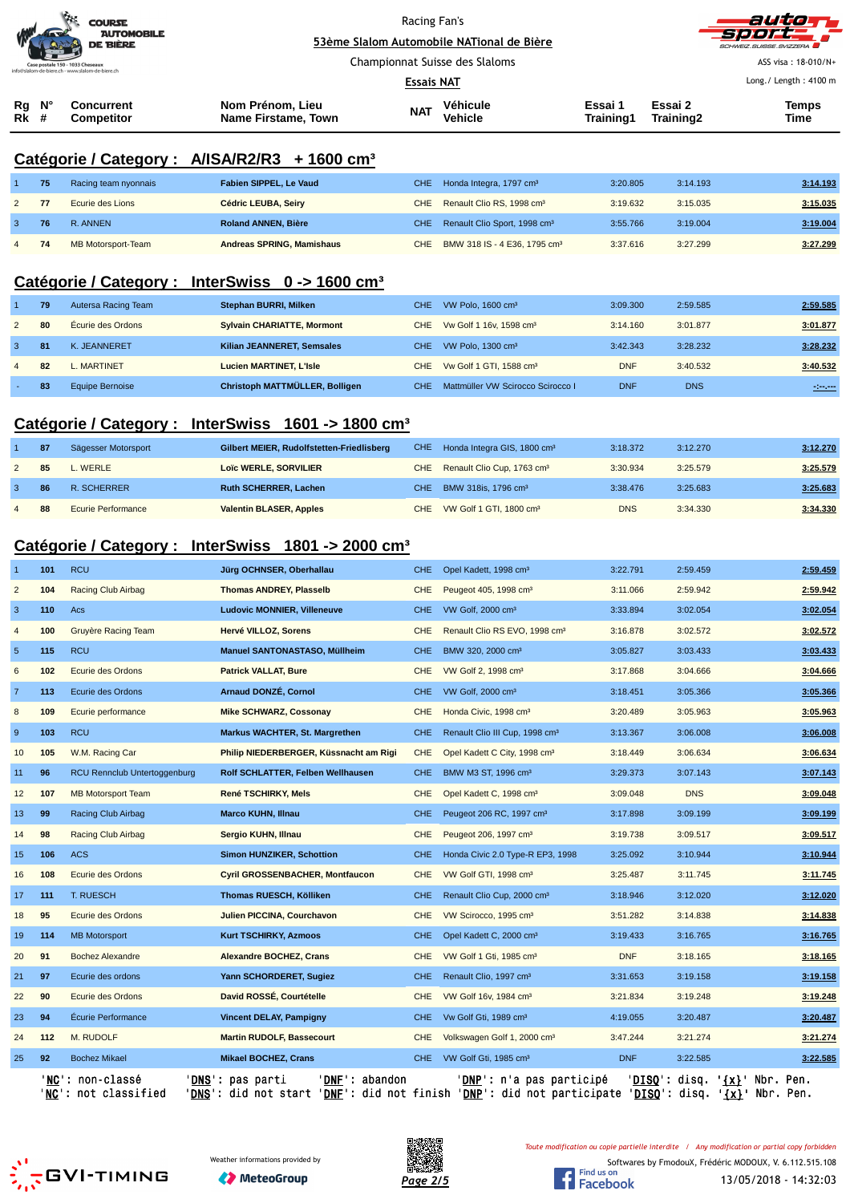| <b>COURSE</b><br><b>AUTOMOBILE</b><br>DE BIÈRE |                                                  |                                  |                                         | Racing Fan's<br>53ème Slalom Automobile NATional de Bière |                            |                      |                      | autori<br>sport ,<br>SCHWEIZ.SUISSE.SVIZZERA |
|------------------------------------------------|--------------------------------------------------|----------------------------------|-----------------------------------------|-----------------------------------------------------------|----------------------------|----------------------|----------------------|----------------------------------------------|
|                                                |                                                  | Case postale 150 - 1033 Cheseaux |                                         | Championnat Suisse des Slaloms                            |                            |                      |                      | ASS visa: 18-010/N+                          |
|                                                | info@slalom-de-biere.ch - www.slalom-de-biere.ch |                                  |                                         | <b>Essais NAT</b>                                         |                            |                      |                      | Long./ Length: 4100 m                        |
| Rg<br><b>Rk</b> #                              | N°                                               | Concurrent<br>Competitor         | Nom Prénom, Lieu<br>Name Firstame, Town | <b>NAT</b>                                                | Véhicule<br><b>Vehicle</b> | Essai 1<br>Training1 | Essai 2<br>Training2 | Temps<br>Time                                |

## **Catégorie / Category : A/ISA/R2/R3 + 1600 cm³**

|                | 75  | Racing team nyonnais | Fabien SIPPEL, Le Vaud           | CHE Honda Integra, 1797 cm <sup>3</sup>      | 3:20.805 | 3:14.193 | 3:14.193 |
|----------------|-----|----------------------|----------------------------------|----------------------------------------------|----------|----------|----------|
| $\mathbf{2}$   |     | Ecurie des Lions     | Cédric LEUBA, Seiry              | CHE Renault Clio RS, 1998 cm <sup>3</sup>    | 3:19.632 | 3:15.035 | 3:15.035 |
|                | 76. | R. ANNEN             | Roland ANNEN, Bière              | CHE Renault Clio Sport, 1998 cm <sup>3</sup> | 3:55.766 | 3:19.004 | 3:19.004 |
| $\overline{4}$ |     | MB Motorsport-Team   | <b>Andreas SPRING, Mamishaus</b> | CHE BMW 318 IS - 4 E36, 1795 cm <sup>3</sup> | 3:37.616 | 3:27.299 | 3:27.299 |

## **Catégorie / Category : InterSwiss 0 -> 1600 cm³**

|                | 79  | Autersa Racing Team | Stephan BURRI, Milken             | CHE  | VW Polo, $1600 \text{ cm}^3$            | 3:09.300   | 2:59.585   | 2:59.585       |
|----------------|-----|---------------------|-----------------------------------|------|-----------------------------------------|------------|------------|----------------|
| $\sqrt{2}$     | 80  | Écurie des Ordons   | <b>Sylvain CHARIATTE, Mormont</b> |      | CHE Vw Golf 1 16v, 1598 cm <sup>3</sup> | 3:14.160   | 3:01.877   | 3:01.877       |
| 3              | -81 | K. JEANNERET        | Kilian JEANNERET, Semsales        | CHE. | VW Polo, 1300 cm <sup>3</sup>           | 3:42.343   | 3:28.232   | 3:28.232       |
| $\overline{4}$ | 82  | MARTINET            | <b>Lucien MARTINET, L'Isle</b>    |      | CHE Vw Golf 1 GTI, 1588 cm <sup>3</sup> | <b>DNF</b> | 3:40.532   | 3:40.532       |
|                | 83  | Equipe Bernoise     | Christoph MATTMÜLLER, Bolligen    | CHE. | Mattmüller VW Scirocco Scirocco I       | <b>DNF</b> | <b>DNS</b> | $-1000 - 1000$ |

## **Catégorie / Category : InterSwiss 1601 -> 1800 cm³**

|                | 87  | Sägesser Motorsport | Gilbert MEIER, Rudolfstetten-Friedlisberg |     | CHE Honda Integra GIS, 1800 cm <sup>3</sup> | 3:18.372   | 3:12.270 | 3:12.270 |
|----------------|-----|---------------------|-------------------------------------------|-----|---------------------------------------------|------------|----------|----------|
|                | 85  | L. WERLE            | Loïc WERLE, SORVILIER                     |     | CHE Renault Clio Cup, 1763 cm <sup>3</sup>  | 3:30.934   | 3:25.579 | 3:25.579 |
|                | -86 | R. SCHERRER         | <b>Ruth SCHERRER, Lachen</b>              | CHE | BMW 318is, 1796 cm <sup>3</sup>             | 3:38.476   | 3:25.683 | 3:25.683 |
| $\overline{4}$ | -88 | Ecurie Performance  | <b>Valentin BLASER, Apples</b>            |     | CHE VW Golf 1 GTI, 1800 cm <sup>3</sup>     | <b>DNS</b> | 3:34.330 | 3:34.330 |
|                |     |                     |                                           |     |                                             |            |          |          |

## **Catégorie / Category : InterSwiss 1801 -> 2000 cm³**

|                         |     | ' <b>NC':</b> non-classé<br>'NC': not classified | 'DNF': abandon<br>' <b>DNS</b> ': pas parti<br>' <u>DNS</u> ': did not start ' <u>DNF</u> ': did not finish ' <u>DNP</u> ': did not participate ' <u>DISQ</u> ': disq. ' <u>{x}</u> ' Nbr. |            | ' <b>DNP</b> ': n'a pas participé          | 'DISQ':    | disq.      | ' <u>{x}</u> ' Nbr. Pen.<br>Pen. |
|-------------------------|-----|--------------------------------------------------|--------------------------------------------------------------------------------------------------------------------------------------------------------------------------------------------|------------|--------------------------------------------|------------|------------|----------------------------------|
| 25                      | 92  | <b>Bochez Mikael</b>                             | <b>Mikael BOCHEZ, Crans</b>                                                                                                                                                                | CHE.       | VW Golf Gti, 1985 cm <sup>3</sup>          | <b>DNF</b> | 3:22.585   | 3:22.585                         |
| 24                      | 112 | M. RUDOLF                                        | <b>Martin RUDOLF, Bassecourt</b>                                                                                                                                                           | <b>CHE</b> | Volkswagen Golf 1, 2000 cm <sup>3</sup>    | 3:47.244   | 3:21.274   | 3:21.274                         |
| 23                      | 94  | Écurie Performance                               | Vincent DELAY, Pampigny                                                                                                                                                                    | <b>CHE</b> | Vw Golf Gti, 1989 cm <sup>3</sup>          | 4:19.055   | 3:20.487   | 3:20.487                         |
| 22                      | 90  | Ecurie des Ordons                                | David ROSSÉ, Courtételle                                                                                                                                                                   | <b>CHE</b> | VW Golf 16v, 1984 cm <sup>3</sup>          | 3:21.834   | 3:19.248   | 3:19.248                         |
| 21                      | 97  | Ecurie des ordons                                | Yann SCHORDERET, Sugiez                                                                                                                                                                    | <b>CHE</b> | Renault Clio, 1997 cm <sup>3</sup>         | 3:31.653   | 3:19.158   | 3:19.158                         |
| 20                      | 91  | <b>Bochez Alexandre</b>                          | <b>Alexandre BOCHEZ, Crans</b>                                                                                                                                                             | <b>CHE</b> | VW Golf 1 Gti, 1985 cm <sup>3</sup>        | <b>DNF</b> | 3:18.165   | 3:18.165                         |
| 19                      | 114 | <b>MB Motorsport</b>                             | Kurt TSCHIRKY, Azmoos                                                                                                                                                                      | <b>CHE</b> | Opel Kadett C, 2000 cm <sup>3</sup>        | 3:19.433   | 3:16.765   | 3:16.765                         |
| 18                      | 95  | Ecurie des Ordons                                | Julien PICCINA, Courchavon                                                                                                                                                                 | <b>CHE</b> | VW Scirocco, 1995 cm <sup>3</sup>          | 3:51.282   | 3:14.838   | 3:14.838                         |
| 17                      | 111 | <b>T. RUESCH</b>                                 | Thomas RUESCH, Kölliken                                                                                                                                                                    | <b>CHE</b> | Renault Clio Cup, 2000 cm <sup>3</sup>     | 3:18.946   | 3:12.020   | 3:12.020                         |
| 16                      | 108 | Ecurie des Ordons                                | Cyril GROSSENBACHER, Montfaucon                                                                                                                                                            | <b>CHE</b> | VW Golf GTI, 1998 cm <sup>3</sup>          | 3:25.487   | 3:11.745   | 3:11.745                         |
| 15                      | 106 | <b>ACS</b>                                       | <b>Simon HUNZIKER, Schottion</b>                                                                                                                                                           | <b>CHE</b> | Honda Civic 2.0 Type-R EP3, 1998           | 3:25.092   | 3:10.944   | 3:10.944                         |
| 14                      | 98  | Racing Club Airbag                               | Sergio KUHN, Illnau                                                                                                                                                                        | <b>CHE</b> | Peugeot 206, 1997 cm <sup>3</sup>          | 3:19.738   | 3:09.517   | 3:09.517                         |
| 13                      | 99  | Racing Club Airbag                               | <b>Marco KUHN, Illnau</b>                                                                                                                                                                  | <b>CHE</b> | Peugeot 206 RC, 1997 cm <sup>3</sup>       | 3:17.898   | 3:09.199   | 3:09.199                         |
| 12                      | 107 | <b>MB Motorsport Team</b>                        | René TSCHIRKY, Mels                                                                                                                                                                        | <b>CHE</b> | Opel Kadett C, 1998 cm <sup>3</sup>        | 3:09.048   | <b>DNS</b> | 3:09.048                         |
| 11                      | 96  | RCU Rennclub Untertoggenburg                     | Rolf SCHLATTER, Felben Wellhausen                                                                                                                                                          | <b>CHE</b> | BMW M3 ST, 1996 cm <sup>3</sup>            | 3:29.373   | 3:07.143   | 3:07.143                         |
| 10                      | 105 | W.M. Racing Car                                  | Philip NIEDERBERGER, Küssnacht am Rigi                                                                                                                                                     | <b>CHE</b> | Opel Kadett C City, 1998 cm <sup>3</sup>   | 3:18.449   | 3:06.634   | 3:06.634                         |
| $\boldsymbol{9}$        | 103 | <b>RCU</b>                                       | Markus WACHTER, St. Margrethen                                                                                                                                                             | <b>CHE</b> | Renault Clio III Cup, 1998 cm <sup>3</sup> | 3:13.367   | 3:06.008   | 3:06.008                         |
| 8                       | 109 | Ecurie performance                               | Mike SCHWARZ, Cossonay                                                                                                                                                                     | <b>CHE</b> | Honda Civic, 1998 cm <sup>3</sup>          | 3:20.489   | 3:05.963   | 3:05.963                         |
| $\overline{7}$          | 113 | Ecurie des Ordons                                | Arnaud DONZÉ, Cornol                                                                                                                                                                       | <b>CHE</b> | VW Golf, 2000 cm <sup>3</sup>              | 3:18.451   | 3:05.366   | 3:05.366                         |
| 6                       | 102 | Ecurie des Ordons                                | Patrick VALLAT, Bure                                                                                                                                                                       | <b>CHE</b> | VW Golf 2, 1998 cm <sup>3</sup>            | 3:17.868   | 3:04.666   | 3:04.666                         |
| $\overline{5}$          | 115 | <b>RCU</b>                                       | Manuel SANTONASTASO, Müllheim                                                                                                                                                              | <b>CHE</b> | BMW 320, 2000 cm <sup>3</sup>              | 3:05.827   | 3:03.433   | 3:03.433                         |
| $\overline{4}$          | 100 | Gruyère Racing Team                              | Hervé VILLOZ, Sorens                                                                                                                                                                       | <b>CHE</b> | Renault Clio RS EVO, 1998 cm <sup>3</sup>  | 3:16.878   | 3:02.572   | 3:02.572                         |
| $\mathbf{3}$            | 110 | Acs                                              | <b>Ludovic MONNIER, Villeneuve</b>                                                                                                                                                         | <b>CHE</b> | VW Golf, 2000 cm <sup>3</sup>              | 3:33.894   | 3:02.054   | 3:02.054                         |
| $\overline{\mathbf{c}}$ | 104 | <b>Racing Club Airbag</b>                        | <b>Thomas ANDREY, Plasselb</b>                                                                                                                                                             | <b>CHE</b> | Peugeot 405, 1998 cm <sup>3</sup>          | 3:11.066   | 2:59.942   | 2:59.942                         |
| $\overline{1}$          | 101 | <b>RCU</b>                                       | Jürg OCHNSER, Oberhallau                                                                                                                                                                   | <b>CHE</b> | Opel Kadett, 1998 cm <sup>3</sup>          | 3:22.791   | 2:59.459   | 2:59.459                         |





*Toute modification ou copie partielle interdite / Any modification or partial copy forbidden*

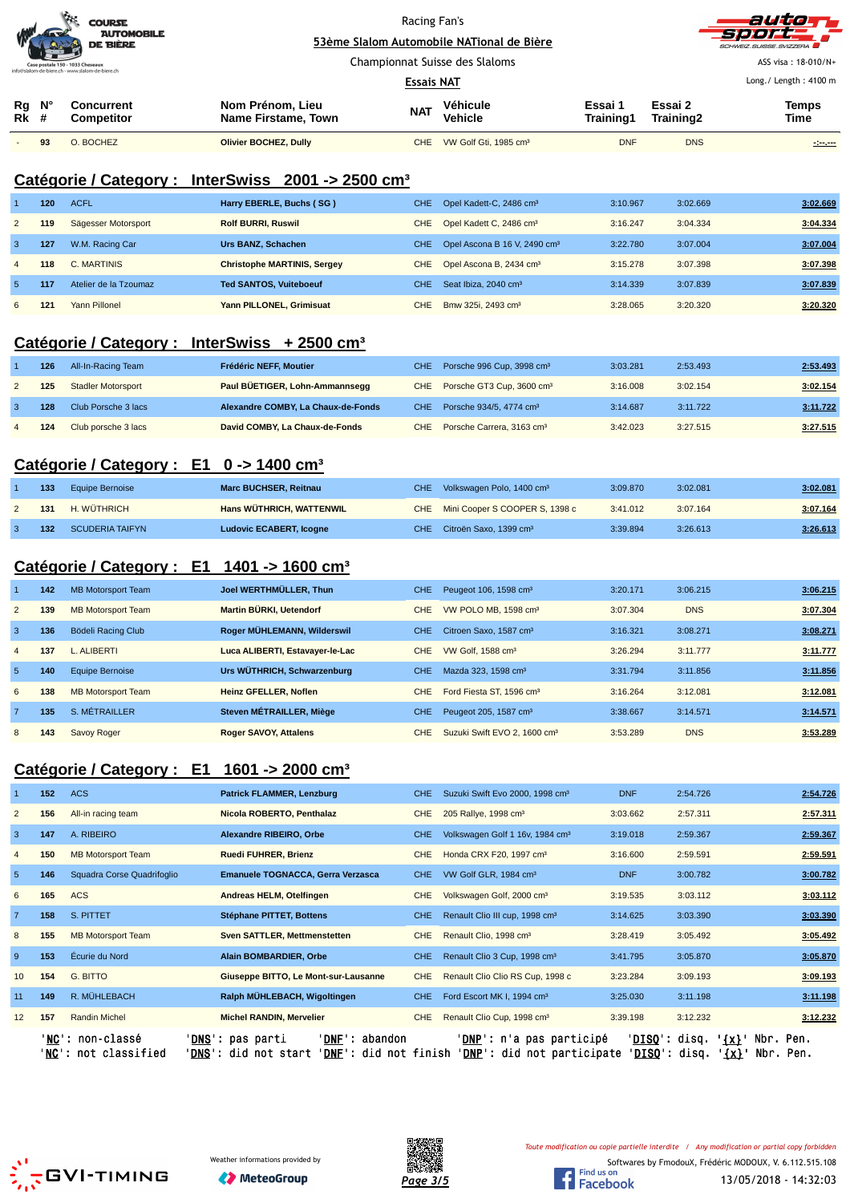|                                                  |    | $\mathbf{r}$<br><b>COURSE</b><br><b>AUTOMOBILE</b><br>DE BIÈRE | Racing Fan's<br>53ème Slalom Automobile NATional de Bière |            |                     |                             | autom<br>-Sport<br>SCHWEIZ.SUISSE.SVIZZERA |                       |
|--------------------------------------------------|----|----------------------------------------------------------------|-----------------------------------------------------------|------------|---------------------|-----------------------------|--------------------------------------------|-----------------------|
|                                                  |    | Case postale 150 - 1033 Cheseaux                               | Championnat Suisse des Slaloms                            |            |                     |                             |                                            | ASS visa: 18-010/N+   |
| info@slalom-de-biere.ch - www.slalom-de-biere.ch |    |                                                                | <b>Essais NAT</b>                                         |            |                     |                             |                                            | Long./ Length: 4100 m |
| Rg<br><b>Rk</b> #                                | N° | Concurrent<br><b>Competitor</b>                                | Nom Prénom, Lieu<br>Name Firstame, Town                   | <b>NAT</b> | Véhicule<br>Vehicle | Essai 1<br><b>Training1</b> | Essai 2<br>Training2                       | Temps<br>Time         |

- **93** O. BOCHEZ **Olivier BOCHEZ, Dully** CHE VW Golf Gti, 1985 cm³ DNF DNS **-:--.---**

#### **Catégorie / Category : InterSwiss 2001 -> 2500 cm³**

|                | 120 | <b>ACFL</b>           | Harry EBERLE, Buchs (SG)           | <b>CHE</b> | Opel Kadett-C, 2486 cm <sup>3</sup>      | 3:10.967 | 3:02.669 | 3:02.669 |
|----------------|-----|-----------------------|------------------------------------|------------|------------------------------------------|----------|----------|----------|
| $\overline{2}$ | 119 | Sägesser Motorsport   | <b>Rolf BURRI, Ruswil</b>          | CHE        | Opel Kadett C, 2486 cm <sup>3</sup>      | 3:16.247 | 3:04.334 | 3:04.334 |
| 3              | 127 | W.M. Racing Car       | Urs BANZ, Schachen                 | CHE :      | Opel Ascona B 16 V, 2490 cm <sup>3</sup> | 3:22.780 | 3:07.004 | 3:07.004 |
| $\overline{4}$ | 118 | C. MARTINIS           | <b>Christophe MARTINIS, Sergey</b> |            | CHE Opel Ascona B, 2434 cm <sup>3</sup>  | 3:15.278 | 3:07.398 | 3:07.398 |
| $\overline{5}$ | 117 | Atelier de la Tzoumaz | <b>Ted SANTOS, Vuiteboeuf</b>      | CHE.       | Seat Ibiza, 2040 cm <sup>3</sup>         | 3:14.339 | 3:07.839 | 3:07.839 |
| 6              | 121 | Yann Pillonel         | Yann PILLONEL, Grimisuat           | CHE        | Bmw 325i, 2493 cm <sup>3</sup>           | 3:28.065 | 3:20.320 | 3:20.320 |

#### **Catégorie / Category : InterSwiss + 2500 cm³**

| 126 | All-In-Racing Team        | Frédéric NEFF. Moutier             | CHE Porsche 996 Cup, 3998 cm <sup>3</sup> | 3:03.281 | 2:53.493 | 2:53.493 |
|-----|---------------------------|------------------------------------|-------------------------------------------|----------|----------|----------|
| 125 | <b>Stadler Motorsport</b> | Paul BÜETIGER, Lohn-Ammannsegg     | CHE Porsche GT3 Cup, 3600 cm <sup>3</sup> | 3:16.008 | 3:02.154 | 3:02.154 |
| 128 | Club Porsche 3 lacs       | Alexandre COMBY, La Chaux-de-Fonds | CHE Porsche 934/5, 4774 cm <sup>3</sup>   | 3:14.687 | 3:11.722 | 3:11.722 |
| 124 | Club porsche 3 lacs       | David COMBY, La Chaux-de-Fonds     | CHE Porsche Carrera, 3163 cm <sup>3</sup> | 3:42.023 | 3:27.515 | 3:27.515 |

## **Catégorie / Category : E1 0 -> 1400 cm³**

| 133 | Equipe Bernoise | Marc BUCHSER, Reitnau           | CHE Volkswagen Polo, 1400 cm <sup>3</sup> | 3:09.870 | 3:02.081 | 3:02.081 |
|-----|-----------------|---------------------------------|-------------------------------------------|----------|----------|----------|
| 131 | H. WÜTHRICH     | <b>Hans WÜTHRICH, WATTENWIL</b> | CHE Mini Cooper S COOPER S, 1398 c        | 3:41.012 | 3:07.164 | 3:07.164 |
| 132 | SCUDERIA TAIFYN | <b>Ludovic ECABERT, Icogne</b>  | CHE Citroën Saxo, 1399 cm <sup>3</sup>    | 3:39.894 | 3:26.613 | 3:26.613 |

#### **Catégorie / Category : E1 1401 -> 1600 cm³**

|                | 142 | <b>MB Motorsport Team</b> | Joel WERTHMÜLLER, Thun          | <b>CHE</b> | Peugeot 106, 1598 cm <sup>3</sup>        | 3:20.171 | 3:06.215   | 3:06.215 |
|----------------|-----|---------------------------|---------------------------------|------------|------------------------------------------|----------|------------|----------|
| $\overline{2}$ | 139 | <b>MB Motorsport Team</b> | Martin BÜRKI, Uetendorf         | <b>CHE</b> | VW POLO MB, 1598 cm <sup>3</sup>         | 3:07.304 | <b>DNS</b> | 3:07.304 |
| 3              | 136 | Bödeli Racing Club        | Roger MÜHLEMANN, Wilderswil     | <b>CHE</b> | Citroen Saxo, 1587 cm <sup>3</sup>       | 3:16.321 | 3:08.271   | 3:08.271 |
| $\overline{4}$ | 137 | L. ALIBERTI               | Luca ALIBERTI, Estavayer-le-Lac | <b>CHE</b> | VW Golf, 1588 cm <sup>3</sup>            | 3:26.294 | 3:11.777   | 3:11.777 |
| 5              | 140 | Equipe Bernoise           | Urs WÜTHRICH, Schwarzenburg     | <b>CHE</b> | Mazda 323, 1598 cm <sup>3</sup>          | 3:31.794 | 3:11.856   | 3:11.856 |
| 6              | 138 | <b>MB Motorsport Team</b> | <b>Heinz GFELLER, Noflen</b>    | <b>CHE</b> | Ford Fiesta ST, 1596 cm <sup>3</sup>     | 3:16.264 | 3:12.081   | 3:12.081 |
| $\overline{7}$ | 135 | S. MÉTRAILLER             | Steven MÉTRAILLER, Miège        | <b>CHE</b> | Peugeot 205, 1587 cm <sup>3</sup>        | 3:38.667 | 3:14.571   | 3:14.571 |
| 8              | 143 | Savoy Roger               | <b>Roger SAVOY, Attalens</b>    | <b>CHE</b> | Suzuki Swift EVO 2, 1600 cm <sup>3</sup> | 3:53.289 | <b>DNS</b> | 3:53.289 |

## **Catégorie / Category : E1 1601 -> 2000 cm³**

|                | 152  | <b>ACS</b>                                               | <b>Patrick FLAMMER, Lenzburg</b>                                                                | <b>CHE</b> | Suzuki Swift Evo 2000, 1998 cm <sup>3</sup>                             | <b>DNF</b>                              | 2:54.726               | 2:54.726               |
|----------------|------|----------------------------------------------------------|-------------------------------------------------------------------------------------------------|------------|-------------------------------------------------------------------------|-----------------------------------------|------------------------|------------------------|
|                |      |                                                          |                                                                                                 |            |                                                                         |                                         |                        |                        |
| $\overline{2}$ | 156  | All-in racing team                                       | Nicola ROBERTO, Penthalaz                                                                       | <b>CHE</b> | 205 Rallye, 1998 cm <sup>3</sup>                                        | 3:03.662                                | 2:57.311               | 2:57.311               |
| 3              | 147  | A. RIBEIRO                                               | Alexandre RIBEIRO, Orbe                                                                         | CHE.       | Volkswagen Golf 1 16v, 1984 cm <sup>3</sup>                             | 3:19.018                                | 2:59.367               | 2:59.367               |
| $\overline{4}$ | 150  | <b>MB Motorsport Team</b>                                | <b>Ruedi FUHRER, Brienz</b>                                                                     | <b>CHE</b> | Honda CRX F20, 1997 cm <sup>3</sup>                                     | 3:16.600                                | 2:59.591               | 2:59.591               |
| $5\phantom{1}$ | 146  | Squadra Corse Quadrifoglio                               | Emanuele TOGNACCA, Gerra Verzasca                                                               | CHE.       | VW Golf GLR, 1984 cm <sup>3</sup>                                       | <b>DNF</b>                              | 3:00.782               | 3:00.782               |
| 6              | 165  | <b>ACS</b>                                               | Andreas HELM, Otelfingen                                                                        | <b>CHE</b> | Volkswagen Golf, 2000 cm <sup>3</sup>                                   | 3:19.535                                | 3:03.112               | 3:03.112               |
| $\overline{7}$ | 158  | S. PITTET                                                | Stéphane PITTET, Bottens                                                                        | <b>CHE</b> | Renault Clio III cup, 1998 cm <sup>3</sup>                              | 3:14.625                                | 3:03.390               | 3:03.390               |
| 8              | 155  | <b>MB Motorsport Team</b>                                | <b>Sven SATTLER, Mettmenstetten</b>                                                             | <b>CHE</b> | Renault Clio, 1998 cm <sup>3</sup>                                      | 3:28.419                                | 3:05.492               | 3:05.492               |
| 9              | 153  | Écurie du Nord                                           | Alain BOMBARDIER, Orbe                                                                          | <b>CHE</b> | Renault Clio 3 Cup, 1998 cm <sup>3</sup>                                | 3:41.795                                | 3:05.870               | 3:05.870               |
| 10             | 154  | G. BITTO                                                 | Giuseppe BITTO, Le Mont-sur-Lausanne                                                            | <b>CHE</b> | Renault Clio Clio RS Cup, 1998 c                                        | 3:23.284                                | 3:09.193               | 3:09.193               |
| 11             | 149  | R. MÜHLEBACH                                             | Ralph MÜHLEBACH, Wigoltingen                                                                    | <b>CHE</b> | Ford Escort MK I, 1994 cm <sup>3</sup>                                  | 3:25.030                                | 3:11.198               | 3:11.198               |
| 12             | 157  | <b>Randin Michel</b>                                     | <b>Michel RANDIN, Mervelier</b>                                                                 | <b>CHE</b> | Renault Clio Cup, 1998 cm <sup>3</sup>                                  | 3:39.198                                | 3:12.232               | 3:12.232               |
|                | ' NC | ' <b>NC</b> ': non-classé<br>' DNS '<br>: not classified | 'DNF': abandon<br>' <b>DNS</b> ': pas parti<br>' <b>DNF':</b> did not finish<br>: did not start |            | ' <b>DNP</b> ': n'a pas participé<br>' <b>DNP':</b> did not participate | ' <b>DISO</b> ': disq.<br>'DISO': disq. | $'$ $\{x\}$<br>$\{x\}$ | Nbr. Pen.<br>Nbr. Pen. |



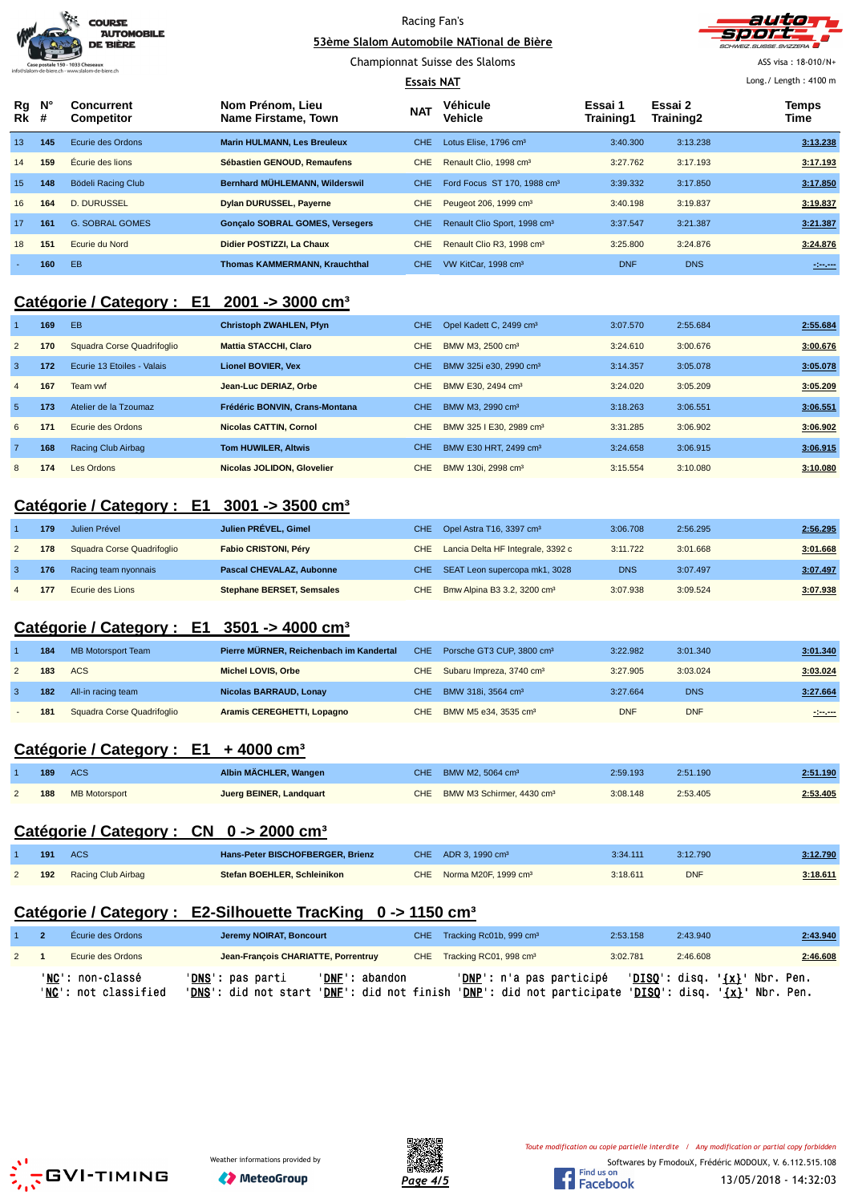|                      | <b>COURSE</b><br><b>AUTOMOBILE</b><br><b>DE BIÈRE</b> |                                        | Racing Fan's<br>53ème Slalom Automobile NATional de Bière<br>Championnat Suisse des Slaloms<br><b>Essais NAT</b> |            |                                          |                      |                      | auto<br><b>CHWEIZ SUISSE SVIZZERA</b><br>ASS visa: 18-010/N+<br>Long./ Length: 4100 m |
|----------------------|-------------------------------------------------------|----------------------------------------|------------------------------------------------------------------------------------------------------------------|------------|------------------------------------------|----------------------|----------------------|---------------------------------------------------------------------------------------|
| Rg N°<br><b>Rk</b> # |                                                       | <b>Concurrent</b><br><b>Competitor</b> | Nom Prénom, Lieu<br>Name Firstame, Town                                                                          | <b>NAT</b> | Véhicule<br>Vehicle                      | Essai 1<br>Training1 | Essai 2<br>Training2 | Temps<br>Time                                                                         |
| 13                   | 145                                                   | Ecurie des Ordons                      | <b>Marin HULMANN, Les Breuleux</b>                                                                               | CHE.       | Lotus Elise, 1796 cm <sup>3</sup>        | 3:40.300             | 3:13.238             | 3:13.238                                                                              |
| 14                   | 159                                                   | Écurie des lions                       | Sébastien GENOUD, Remaufens                                                                                      | <b>CHE</b> | Renault Clio, 1998 cm <sup>3</sup>       | 3:27.762             | 3:17.193             | 3:17.193                                                                              |
| 15                   | 148                                                   | Bödeli Racing Club                     | Bernhard MÜHLEMANN, Wilderswil                                                                                   | CHE.       | Ford Focus ST 170, 1988 cm <sup>3</sup>  | 3:39.332             | 3:17.850             | 3:17.850                                                                              |
| 16                   | 164                                                   | D. DURUSSEL                            | <b>Dylan DURUSSEL, Payerne</b>                                                                                   | <b>CHE</b> | Peugeot 206, 1999 cm <sup>3</sup>        | 3:40.198             | 3:19.837             | 3:19.837                                                                              |
| 17                   | 161                                                   | <b>G. SOBRAL GOMES</b>                 | <b>Gonçalo SOBRAL GOMES, Versegers</b>                                                                           | CHE.       | Renault Clio Sport, 1998 cm <sup>3</sup> | 3:37.547             | 3:21.387             | 3:21.387                                                                              |
| 18                   | 151                                                   | Ecurie du Nord                         | Didier POSTIZZI, La Chaux                                                                                        | <b>CHE</b> | Renault Clio R3, 1998 cm <sup>3</sup>    | 3:25.800             | 3:24.876             | 3:24.876                                                                              |
|                      | 160                                                   | EB                                     | <b>Thomas KAMMERMANN, Krauchthal</b>                                                                             | CHE.       | VW KitCar, 1998 cm <sup>3</sup>          | <b>DNF</b>           | <b>DNS</b>           | ----                                                                                  |

## **Catégorie / Category : E1 2001 -> 3000 cm³**

|                | 169 | EB                         | <b>Christoph ZWAHLEN, Pfyn</b> | CHE.       | Opel Kadett C, 2499 cm <sup>3</sup> | 3:07.570 | 2:55.684 | 2:55.684 |
|----------------|-----|----------------------------|--------------------------------|------------|-------------------------------------|----------|----------|----------|
| $\overline{2}$ | 170 | Squadra Corse Quadrifoglio | <b>Mattia STACCHI, Claro</b>   | <b>CHE</b> | BMW M3, 2500 cm <sup>3</sup>        | 3:24.610 | 3:00.676 | 3:00.676 |
| -3             | 172 | Ecurie 13 Etoiles - Valais | <b>Lionel BOVIER, Vex</b>      | <b>CHE</b> | BMW 325i e30, 2990 cm <sup>3</sup>  | 3:14.357 | 3:05.078 | 3:05.078 |
| $\overline{4}$ | 167 | Team vwf                   | Jean-Luc DERIAZ, Orbe          | <b>CHE</b> | BMW E30, 2494 cm <sup>3</sup>       | 3:24.020 | 3:05.209 | 3:05.209 |
| -5             | 173 | Atelier de la Tzoumaz      | Frédéric BONVIN, Crans-Montana | <b>CHE</b> | BMW M3, 2990 cm <sup>3</sup>        | 3:18.263 | 3:06.551 | 3:06.551 |
| 6              | 171 | Ecurie des Ordons          | <b>Nicolas CATTIN, Cornol</b>  | <b>CHE</b> | BMW 325   E30, 2989 cm <sup>3</sup> | 3:31.285 | 3:06.902 | 3:06.902 |
|                | 168 | Racing Club Airbag         | <b>Tom HUWILER, Altwis</b>     | <b>CHE</b> | BMW E30 HRT, 2499 cm <sup>3</sup>   | 3:24.658 | 3:06.915 | 3:06.915 |
| 8              | 174 | Les Ordons                 | Nicolas JOLIDON, Glovelier     | CHE        | BMW 130i, 2998 cm <sup>3</sup>      | 3:15.554 | 3:10.080 | 3:10.080 |

### **Catégorie / Category : E1 3001 -> 3500 cm³**

| 179 | Julien Prével              | Julien PRÉVEL, Gimel             | CHE Opel Astra T16, 3397 cm <sup>3</sup>    | 3:06.708   | 2:56.295 | 2:56.295 |
|-----|----------------------------|----------------------------------|---------------------------------------------|------------|----------|----------|
| 178 | Squadra Corse Quadrifoglio | <b>Fabio CRISTONI, Péry</b>      | CHE Lancia Delta HF Integrale, 3392 c       | 3:11.722   | 3:01.668 | 3:01.668 |
| 176 | Racing team nyonnais       | Pascal CHEVALAZ, Aubonne         | CHE SEAT Leon supercopa mk1, 3028           | <b>DNS</b> | 3:07.497 | 3:07.497 |
| 177 | Ecurie des Lions           | <b>Stephane BERSET, Semsales</b> | CHE Bmw Alpina B3 3.2, 3200 cm <sup>3</sup> | 3:07.938   | 3:09.524 | 3:07.938 |

#### **Catégorie / Category : E1 3501 -> 4000 cm³**

| 184 | MB Motorsport Team         | Pierre MÜRNER, Reichenbach im Kandertal | CHE Porsche GT3 CUP, 3800 cm <sup>3</sup> | 3:22.982   | 3:01.340   | 3:01.340 |
|-----|----------------------------|-----------------------------------------|-------------------------------------------|------------|------------|----------|
| 183 | ACS                        | Michel LOVIS, Orbe                      | CHE Subaru Impreza, 3740 cm <sup>3</sup>  | 3:27.905   | 3:03.024   | 3:03.024 |
| 182 | All-in racing team         | Nicolas BARRAUD, Lonay                  | CHE BMW 318i, 3564 cm <sup>3</sup>        | 3:27.664   | <b>DNS</b> | 3:27.664 |
| 181 | Squadra Corse Quadrifoglio | Aramis CEREGHETTI, Lopagno              | CHE BMW M5 e34, 3535 cm <sup>3</sup>      | <b>DNF</b> | <b>DNF</b> | 1.00000  |

## **Catégorie / Category : E1 + 4000 cm³**

| 189 | ACS               | Albin MACHLER, Wangen   | CHE BMW M2, 5064 cm <sup>3</sup>          | 2:59.193 | 2:51.190 | 2:51.190 |
|-----|-------------------|-------------------------|-------------------------------------------|----------|----------|----------|
|     | 188 MB Motorsport | Juerg BEINER, Landquart | CHE BMW M3 Schirmer, 4430 cm <sup>3</sup> | 3:08.148 | 2:53.405 | 2:53.405 |

## **Catégorie / Category : CN 0 -> 2000 cm³**

| 191 | <b>ACS</b>         | <b>Hans-Peter BISCHOFBERGER, Brienz</b> | CHE $ADR$ 3, 1990 cm <sup>3</sup>    | 3:34.111 | 3:12.790   | 3:12.790 |
|-----|--------------------|-----------------------------------------|--------------------------------------|----------|------------|----------|
| 192 | Racing Club Airbag | Stefan BOEHLER, Schleinikon             | CHE Norma M20F, 1999 cm <sup>3</sup> | 3:18.611 | <b>DNF</b> | 3:18.611 |

# **Catégorie / Category : E2-Silhouette TracKing 0 -> 1150 cm³**

|                | Écurie des Ordons                        | Jeremy NOIRAT, Boncourt                                                                                                          |                | CHE Tracking Rc01b, 999 cm <sup>3</sup> | 2:53.158 | 2:43.940                           | 2:43.940 |
|----------------|------------------------------------------|----------------------------------------------------------------------------------------------------------------------------------|----------------|-----------------------------------------|----------|------------------------------------|----------|
| $\overline{2}$ | Ecurie des Ordons                        | Jean-François CHARIATTE, Porrentruy                                                                                              |                | CHE Tracking RC01, 998 cm <sup>3</sup>  | 3:02.781 | 2:46.608                           | 2:46.608 |
|                | 'NC': non-classé<br>'NC': not classified | ' <b>DNS</b> ': pas parti<br>'DNS': did not start 'DNF': did not finish 'DNP': did not participate 'DISQ': disq. '{x}' Nbr. Pen. | 'DNF': abandon | ' <b>DNP</b> ': n'a pas participé       |          | $'DISO':$ disq. $\{x\}'$ Nbr. Pen. |          |